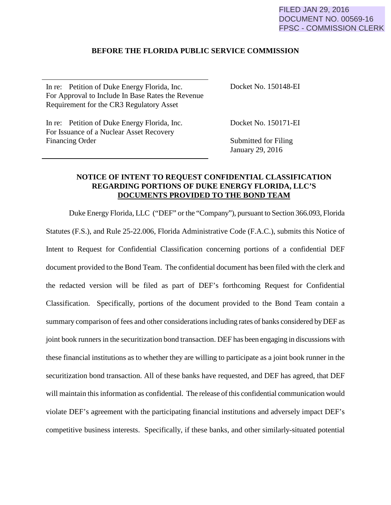## **BEFORE THE FLORIDA PUBLIC SERVICE COMMISSION**

In re: Petition of Duke Energy Florida, Inc. For Approval to Include In Base Rates the Revenue Requirement for the CR3 Regulatory Asset

Docket No. 150148-EI

In re: Petition of Duke Energy Florida, Inc. For Issuance of a Nuclear Asset Recovery Financing Order

Docket No. 150171-EI

Submitted for Filing January 29, 2016

## **NOTICE OF INTENT TO REQUEST CONFIDENTIAL CLASSIFICATION REGARDING PORTIONS OF DUKE ENERGY FLORIDA, LLC'S DOCUMENTS PROVIDED TO THE BOND TEAM**

Duke Energy Florida, LLC ("DEF" or the "Company"), pursuant to Section 366.093, Florida Statutes (F.S.), and Rule 25-22.006, Florida Administrative Code (F.A.C.), submits this Notice of Intent to Request for Confidential Classification concerning portions of a confidential DEF document provided to the Bond Team. The confidential document has been filed with the clerk and the redacted version will be filed as part of DEF's forthcoming Request for Confidential Classification. Specifically, portions of the document provided to the Bond Team contain a summary comparison of fees and other considerations including rates of banks considered by DEF as joint book runners in the securitization bond transaction. DEF has been engaging in discussions with these financial institutions as to whether they are willing to participate as a joint book runner in the securitization bond transaction. All of these banks have requested, and DEF has agreed, that DEF will maintain this information as confidential. The release of this confidential communication would violate DEF's agreement with the participating financial institutions and adversely impact DEF's competitive business interests. Specifically, if these banks, and other similarly-situated potential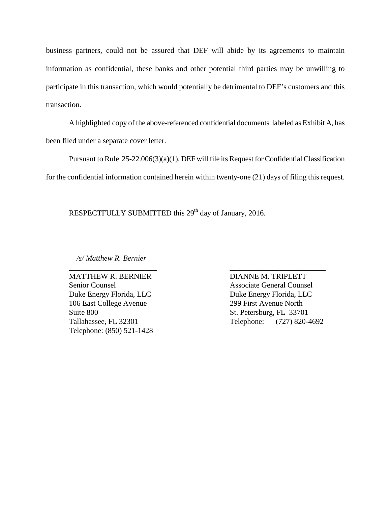business partners, could not be assured that DEF will abide by its agreements to maintain information as confidential, these banks and other potential third parties may be unwilling to participate in this transaction, which would potentially be detrimental to DEF's customers and this transaction.

A highlighted copy of the above-referenced confidential documents labeled as Exhibit A, has been filed under a separate cover letter.

 Pursuant to Rule 25-22.006(3)(a)(1), DEF will file its Request for Confidential Classification for the confidential information contained herein within twenty-one (21) days of filing this request.

\_\_\_\_\_\_\_\_\_\_\_\_\_\_\_\_\_\_\_\_\_\_\_ \_\_\_\_\_\_\_\_\_\_\_\_\_\_\_\_\_\_\_\_\_\_\_\_\_

RESPECTFULLY SUBMITTED this 29<sup>th</sup> day of January, 2016.

 */s/ Matthew R. Bernier*

MATTHEW R. BERNIER DIANNE M. TRIPLETT Duke Energy Florida, LLC<br>Duke Energy Florida, LLC 106 East College Avenue 299 First Avenue North Suite 800 Suite 800 St. Petersburg, FL 33701 Telephone: (850) 521-1428

Senior Counsel Associate General Counsel Tallahassee, FL 32301 Telephone: (727) 820-4692